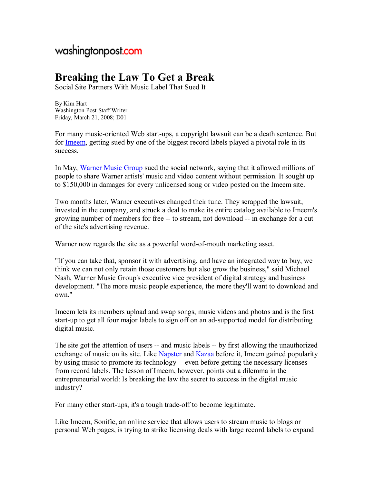## washingtonpost.com

## **Breaking the Law To Get a Break**

Social Site Partners With Music Label That Sued It

By Kim Hart Washington Post Staff Writer Friday, March 21, 2008; D01

For many music-oriented Web start-ups, a copyright lawsuit can be a death sentence. But for Imeem, getting sued by one of the biggest record labels played a pivotal role in its success.

In May, Warner Music Group sued the social network, saying that it allowed millions of people to share Warner artists' music and video content without permission. It sought up to \$150,000 in damages for every unlicensed song or video posted on the Imeem site.

Two months later, Warner executives changed their tune. They scrapped the lawsuit, invested in the company, and struck a deal to make its entire catalog available to Imeem's growing number of members for free -- to stream, not download -- in exchange for a cut of the site's advertising revenue.

Warner now regards the site as a powerful word-of-mouth marketing asset.

"If you can take that, sponsor it with advertising, and have an integrated way to buy, we think we can not only retain those customers but also grow the business," said Michael Nash, Warner Music Group's executive vice president of digital strategy and business development. "The more music people experience, the more they'll want to download and own."

Imeem lets its members upload and swap songs, music videos and photos and is the first start-up to get all four major labels to sign off on an ad-supported model for distributing digital music.

The site got the attention of users -- and music labels -- by first allowing the unauthorized exchange of music on its site. Like Napster and Kazaa before it, Imeem gained popularity by using music to promote its technology -- even before getting the necessary licenses from record labels. The lesson of Imeem, however, points out a dilemma in the entrepreneurial world: Is breaking the law the secret to success in the digital music industry?

For many other start-ups, it's a tough trade-off to become legitimate.

Like Imeem, Sonific, an online service that allows users to stream music to blogs or personal Web pages, is trying to strike licensing deals with large record labels to expand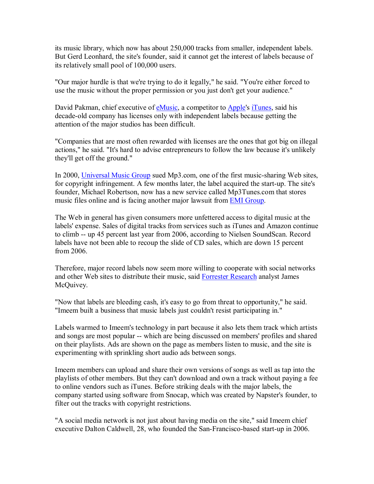its music library, which now has about 250,000 tracks from smaller, independent labels. But Gerd Leonhard, the site's founder, said it cannot get the interest of labels because of its relatively small pool of 100,000 users.

"Our major hurdle is that we're trying to do it legally," he said. "You're either forced to use the music without the proper permission or you just don't get your audience."

David Pakman, chief executive of eMusic, a competitor to Apple's iTunes, said his decade-old company has licenses only with independent labels because getting the attention of the major studios has been difficult.

"Companies that are most often rewarded with licenses are the ones that got big on illegal actions," he said. "It's hard to advise entrepreneurs to follow the law because it's unlikely they'll get off the ground."

In 2000, Universal Music Group sued Mp3.com, one of the first music-sharing Web sites, for copyright infringement. A few months later, the label acquired the start-up. The site's founder, Michael Robertson, now has a new service called Mp3Tunes.com that stores music files online and is facing another major lawsuit from EMI Group.

The Web in general has given consumers more unfettered access to digital music at the labels' expense. Sales of digital tracks from services such as iTunes and Amazon continue to climb -- up 45 percent last year from 2006, according to Nielsen SoundScan. Record labels have not been able to recoup the slide of CD sales, which are down 15 percent from 2006.

Therefore, major record labels now seem more willing to cooperate with social networks and other Web sites to distribute their music, said Forrester Research analyst James McQuivey.

"Now that labels are bleeding cash, it's easy to go from threat to opportunity," he said. "Imeem built a business that music labels just couldn't resist participating in."

Labels warmed to Imeem's technology in part because it also lets them track which artists and songs are most popular -- which are being discussed on members' profiles and shared on their playlists. Ads are shown on the page as members listen to music, and the site is experimenting with sprinkling short audio ads between songs.

Imeem members can upload and share their own versions of songs as well as tap into the playlists of other members. But they can't download and own a track without paying a fee to online vendors such as iTunes. Before striking deals with the major labels, the company started using software from Snocap, which was created by Napster's founder, to filter out the tracks with copyright restrictions.

"A social media network is not just about having media on the site," said Imeem chief executive Dalton Caldwell, 28, who founded the San-Francisco-based start-up in 2006.